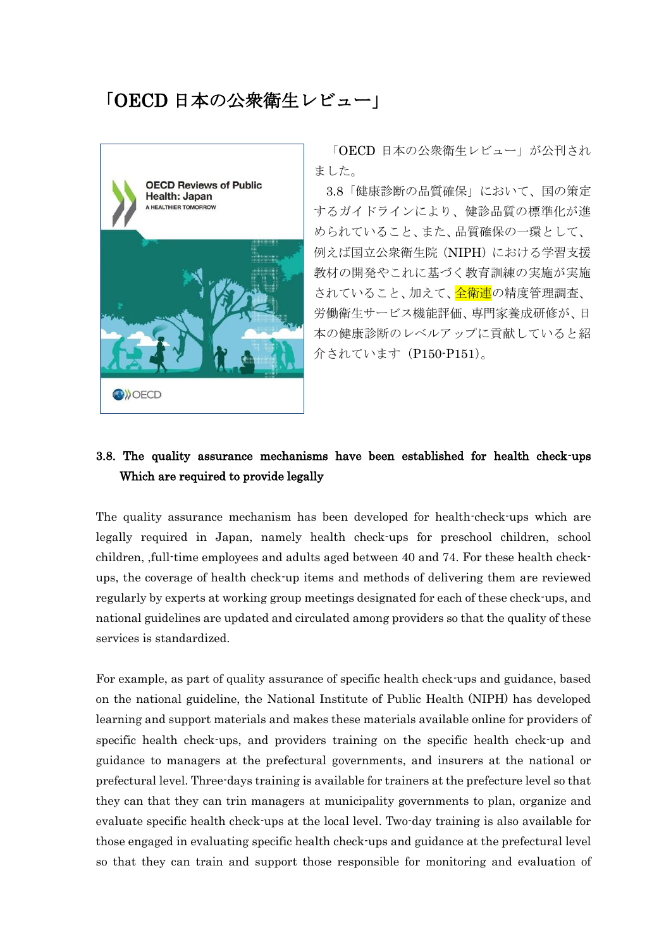## 「OECD 日本の公衆衛生レビュー」



「OECD 日本の公衆衛生レビュー」が公刊され ました。

3.8「健康診断の品質確保」において、国の策定 するガイドラインにより、健診品質の標準化が進 められていること、また、品質確保の一環として、 例えば国立公衆衛生院(NIPH)における学習支援 教材の開発やこれに基づく教育訓練の実施が実施 されていること、加えて、<mark>全衛連</mark>の精度管理調査、 労働衛生サービス機能評価、専門家養成研修が、日 本の健康診断のレベルアップに貢献していると紹 介されています (P150-P151)。

## 3.8. The quality assurance mechanisms have been established for health check-ups Which are required to provide legally

The quality assurance mechanism has been developed for health-check-ups which are legally required in Japan, namely health check-ups for preschool children, school children, ,full-time employees and adults aged between 40 and 74. For these health checkups, the coverage of health check-up items and methods of delivering them are reviewed regularly by experts at working group meetings designated for each of these check-ups, and national guidelines are updated and circulated among providers so that the quality of these services is standardized.

For example, as part of quality assurance of specific health check-ups and guidance, based on the national guideline, the National Institute of Public Health (NIPH) has developed learning and support materials and makes these materials available online for providers of specific health check-ups, and providers training on the specific health check-up and guidance to managers at the prefectural governments, and insurers at the national or prefectural level. Three-days training is available for trainers at the prefecture level so that they can that they can trin managers at municipality governments to plan, organize and evaluate specific health check-ups at the local level. Two-day training is also available for those engaged in evaluating specific health check-ups and guidance at the prefectural level so that they can train and support those responsible for monitoring and evaluation of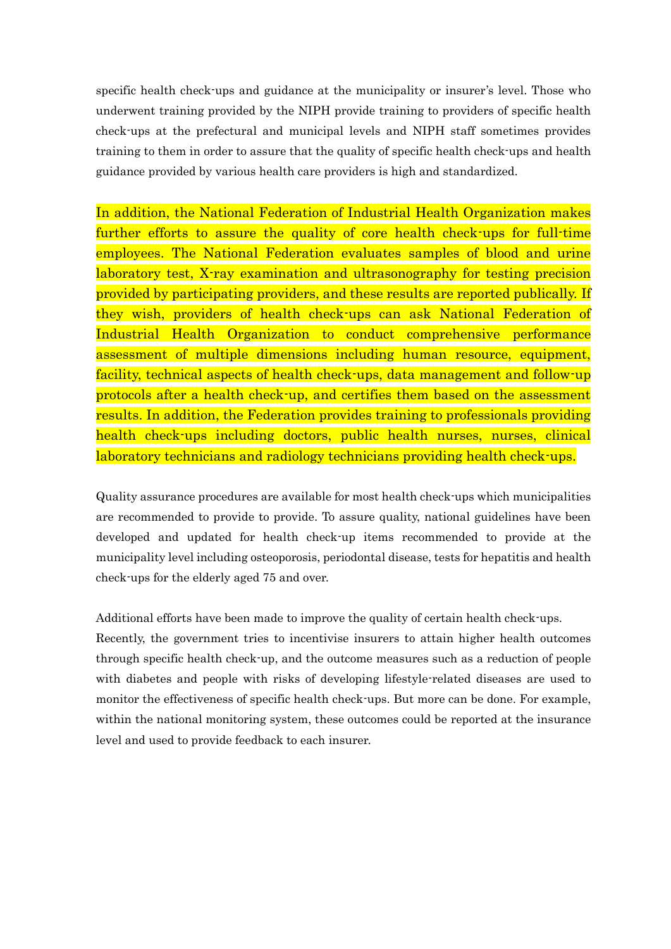specific health check-ups and guidance at the municipality or insurer's level. Those who underwent training provided by the NIPH provide training to providers of specific health check-ups at the prefectural and municipal levels and NIPH staff sometimes provides training to them in order to assure that the quality of specific health check-ups and health guidance provided by various health care providers is high and standardized.

In addition, the National Federation of Industrial Health Organization makes further efforts to assure the quality of core health check-ups for full-time employees. The National Federation evaluates samples of blood and urine laboratory test, X-ray examination and ultrasonography for testing precision provided by participating providers, and these results are reported publically. If they wish, providers of health check-ups can ask National Federation of Industrial Health Organization to conduct comprehensive performance assessment of multiple dimensions including human resource, equipment, facility, technical aspects of health check-ups, data management and follow-up protocols after a health check-up, and certifies them based on the assessment results. In addition, the Federation provides training to professionals providing health check-ups including doctors, public health nurses, nurses, clinical laboratory technicians and radiology technicians providing health check-ups.

Quality assurance procedures are available for most health check-ups which municipalities are recommended to provide to provide. To assure quality, national guidelines have been developed and updated for health check-up items recommended to provide at the municipality level including osteoporosis, periodontal disease, tests for hepatitis and health check-ups for the elderly aged 75 and over.

Additional efforts have been made to improve the quality of certain health check-ups. Recently, the government tries to incentivise insurers to attain higher health outcomes through specific health check-up, and the outcome measures such as a reduction of people with diabetes and people with risks of developing lifestyle-related diseases are used to monitor the effectiveness of specific health check-ups. But more can be done. For example, within the national monitoring system, these outcomes could be reported at the insurance level and used to provide feedback to each insurer.